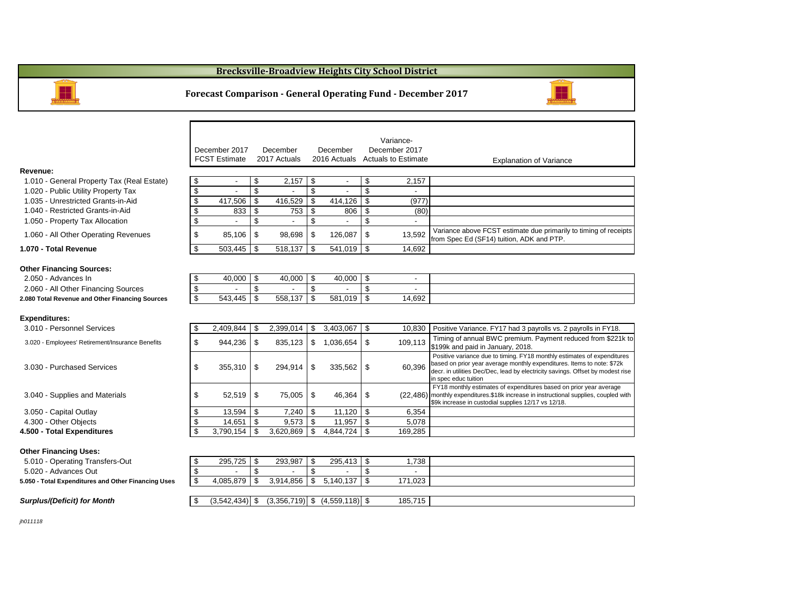#### **Brecksville-Broadview Heights City School District**



#### **Forecast Comparison - General Operating Fund - December 2017**

|                                                     | December 2017                                         |                                | December     | December                          |                | Variance-<br>December 2017         |                                                                                                                                                                                                                                                             |
|-----------------------------------------------------|-------------------------------------------------------|--------------------------------|--------------|-----------------------------------|----------------|------------------------------------|-------------------------------------------------------------------------------------------------------------------------------------------------------------------------------------------------------------------------------------------------------------|
|                                                     | <b>FCST Estimate</b>                                  |                                | 2017 Actuals |                                   |                | 2016 Actuals Actuals to Estimate   | <b>Explanation of Variance</b>                                                                                                                                                                                                                              |
| Revenue:                                            |                                                       |                                |              |                                   |                |                                    |                                                                                                                                                                                                                                                             |
| 1.010 - General Property Tax (Real Estate)          | \$                                                    | \$<br>$\overline{\phantom{a}}$ | 2,157        | \$<br>$\overline{a}$              | \$             | 2,157                              |                                                                                                                                                                                                                                                             |
| 1.020 - Public Utility Property Tax                 | \$                                                    | \$                             |              | \$                                | \$             |                                    |                                                                                                                                                                                                                                                             |
| 1.035 - Unrestricted Grants-in-Aid                  | \$<br>417,506                                         | $\mathbf{\hat{s}}$             | 416,529      | \$<br>414,126                     | \$             | (977)                              |                                                                                                                                                                                                                                                             |
| 1.040 - Restricted Grants-in-Aid                    | \$                                                    | \$<br>833                      | 753          | \$<br>806                         | \$             | (80)                               |                                                                                                                                                                                                                                                             |
| 1.050 - Property Tax Allocation                     | \$                                                    | \$                             |              | \$                                | \$             | $\overline{a}$                     |                                                                                                                                                                                                                                                             |
| 1.060 - All Other Operating Revenues                | \$                                                    | 85,106<br>-\$                  | 98,698       | \$<br>126,087                     | \$             | 13,592                             | Variance above FCST estimate due primarily to timing of receipts<br>from Spec Ed (SF14) tuition, ADK and PTP.                                                                                                                                               |
| 1.070 - Total Revenue                               | \$<br>503,445                                         | \$                             | 518,137      | \$<br>541,019                     | \$             | 14,692                             |                                                                                                                                                                                                                                                             |
| <b>Other Financing Sources:</b>                     |                                                       |                                |              |                                   |                |                                    |                                                                                                                                                                                                                                                             |
| 2.050 - Advances In                                 | \$                                                    | \$<br>40,000                   | 40,000       | \$<br>40,000                      | \$             | $\overline{\phantom{a}}$           |                                                                                                                                                                                                                                                             |
| 2.060 - All Other Financing Sources                 | $\overline{\$}$<br>$\overline{\mathbf{S}}$<br>543,445 | $\mathfrak{L}$<br>\$           | 558,137      | \$<br>\$<br>581,019               | \$<br>\$       | $\overline{\phantom{a}}$<br>14,692 |                                                                                                                                                                                                                                                             |
| 2.080 Total Revenue and Other Financing Sources     |                                                       |                                |              |                                   |                |                                    |                                                                                                                                                                                                                                                             |
| <b>Expenditures:</b>                                |                                                       |                                |              |                                   |                |                                    |                                                                                                                                                                                                                                                             |
| 3.010 - Personnel Services                          | \$<br>2,409,844                                       | -\$                            | 2,399,014    | 3,403,067<br>\$                   | \$             | 10,830                             | Positive Variance. FY17 had 3 payrolls vs. 2 payrolls in FY18.                                                                                                                                                                                              |
| 3.020 - Employees' Retirement/Insurance Benefits    | \$<br>944,236                                         | -\$                            | 835,123      | \$<br>1,036,654                   | \$             | 109,113                            | Timing of annual BWC premium. Payment reduced from \$221k to<br>\$199k and paid in January, 2018.                                                                                                                                                           |
| 3.030 - Purchased Services                          | \$<br>355,310                                         | -\$                            | 294,914      | \$<br>335,562                     | \$             | 60.396                             | Positive variance due to timing. FY18 monthly estimates of expenditures<br>based on prior year average monthly expenditures. Items to note: \$72k<br>decr. in utilities Dec/Dec, lead by electricity savings. Offset by modest rise<br>in spec educ tuition |
| 3.040 - Supplies and Materials                      | \$                                                    | \$<br>52,519                   | 75,005       | \$<br>46,364                      | \$             |                                    | FY18 monthly estimates of expenditures based on prior year average<br>(22,486) monthly expenditures.\$18k increase in instructional supplies, coupled with<br>\$9k increase in custodial supplies 12/17 vs 12/18.                                           |
| 3.050 - Capital Outlay                              | \$                                                    | \$<br>13,594                   | 7,240        | \$<br>11,120                      | \$             | 6,354                              |                                                                                                                                                                                                                                                             |
| 4.300 - Other Objects                               | \$                                                    | \$<br>14,651                   | 9,573        | \$<br>11,957                      | \$             | 5.078                              |                                                                                                                                                                                                                                                             |
| 4.500 - Total Expenditures                          | \$<br>3,790,154                                       | \$                             | 3,620,869    | \$<br>4,844,724                   | $\mathfrak{S}$ | 169,285                            |                                                                                                                                                                                                                                                             |
| <b>Other Financing Uses:</b>                        |                                                       |                                |              |                                   |                |                                    |                                                                                                                                                                                                                                                             |
| 5.010 - Operating Transfers-Out                     | 295,725<br>\$                                         | \$                             | 293,987      | \$<br>295,413                     | \$             | 1,738                              |                                                                                                                                                                                                                                                             |
| 5.020 - Advances Out                                | $\overline{\mathbf{S}}$                               | \$                             |              | \$                                | \$             | $\overline{a}$                     |                                                                                                                                                                                                                                                             |
| 5.050 - Total Expenditures and Other Financing Uses | \$<br>4,085,879                                       | \$                             | 3,914,856    | \$<br>5,140,137                   | \$             | 171,023                            |                                                                                                                                                                                                                                                             |
| <b>Surplus/(Deficit) for Month</b>                  | $(3,542,434)$ \$<br>\$                                |                                |              | $(3,356,719)$ \$ $(4,559,118)$ \$ |                | 185,715                            |                                                                                                                                                                                                                                                             |

*jh011118*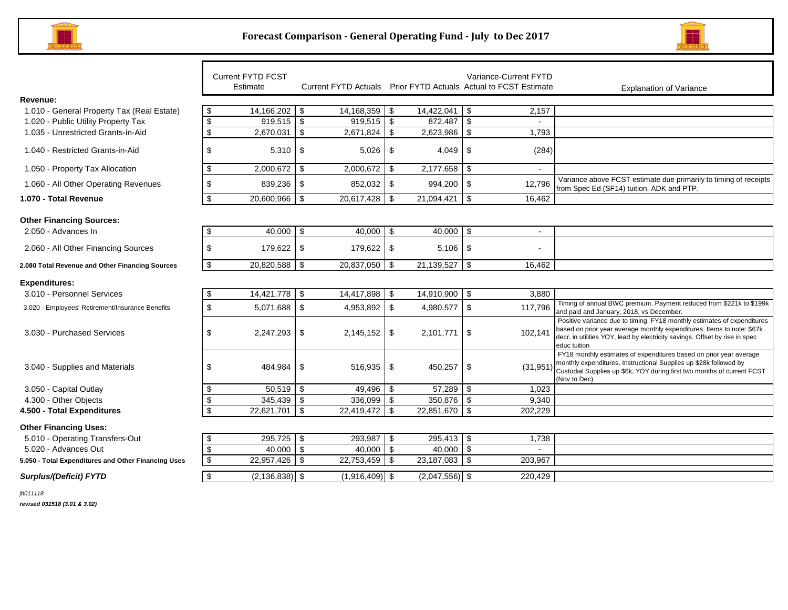



|                                                        |                           | <b>Current FYTD FCST</b><br>Estimate | Current FYTD Actuals Prior FYTD Actuals Actual to FCST Estimate |                  |          | Variance-Current FYTD | <b>Explanation of Variance</b>                                                                                                                                                                                                                   |
|--------------------------------------------------------|---------------------------|--------------------------------------|-----------------------------------------------------------------|------------------|----------|-----------------------|--------------------------------------------------------------------------------------------------------------------------------------------------------------------------------------------------------------------------------------------------|
| Revenue:                                               |                           |                                      |                                                                 |                  |          |                       |                                                                                                                                                                                                                                                  |
| 1.010 - General Property Tax (Real Estate)             | \$                        | $14,166,202$ \ \$                    | $14,168,359$ \$                                                 | $14,422,041$ \\$ |          | 2,157                 |                                                                                                                                                                                                                                                  |
| 1.020 - Public Utility Property Tax                    | $\boldsymbol{\mathsf{S}}$ | $919,515$ \$                         | $919,515$ \$                                                    | 872,487          | -\$      | $\sim$                |                                                                                                                                                                                                                                                  |
| 1.035 - Unrestricted Grants-in-Aid                     | $\overline{\mathcal{S}}$  | 2,670,031                            | \$<br>$2,671,824$ \$                                            | 2,623,986        | \$       | 1,793                 |                                                                                                                                                                                                                                                  |
| 1.040 - Restricted Grants-in-Aid                       | \$                        | 5,310                                | \$<br>$5,026$ \ \$                                              | 4,049            | -\$      | (284)                 |                                                                                                                                                                                                                                                  |
| 1.050 - Property Tax Allocation                        | \$                        | 2,000,672                            | $2,000,672$ \$<br>\$                                            | 2,177,658        | -\$      |                       |                                                                                                                                                                                                                                                  |
| 1.060 - All Other Operating Revenues                   | \$                        | 839,236                              | \$<br>852,032 \$                                                | 994,200          | -\$      | 12,796                | Variance above FCST estimate due primarily to timing of receipts<br>from Spec Ed (SF14) tuition, ADK and PTP.                                                                                                                                    |
| 1.070 - Total Revenue                                  | \$                        | 20,600,966 \$                        | $20,617,428$ \$                                                 | 21,094,421       | <b>S</b> | 16.462                |                                                                                                                                                                                                                                                  |
|                                                        |                           |                                      |                                                                 |                  |          |                       |                                                                                                                                                                                                                                                  |
| <b>Other Financing Sources:</b><br>2.050 - Advances In | \$                        | $40,000$ \ \$                        | $40,000$ \ \$                                                   | 40,000           | -\$      | $\sim$                |                                                                                                                                                                                                                                                  |
|                                                        |                           |                                      |                                                                 |                  |          |                       |                                                                                                                                                                                                                                                  |
| 2.060 - All Other Financing Sources                    | \$                        | 179,622                              | -\$<br>$179,622$ \$                                             | 5,106            | \$       | $\sim$                |                                                                                                                                                                                                                                                  |
| 2.080 Total Revenue and Other Financing Sources        | $\boldsymbol{\mathsf{S}}$ | 20,820,588                           | \$<br>20,837,050 \$                                             | 21,139,527       | -\$      | 16,462                |                                                                                                                                                                                                                                                  |
| <b>Expenditures:</b>                                   |                           |                                      |                                                                 |                  |          |                       |                                                                                                                                                                                                                                                  |
| 3.010 - Personnel Services                             | \$                        | 14,421,778                           | 14,417,898 \$<br>- \$                                           | 14,910,900       | -\$      | 3,880                 |                                                                                                                                                                                                                                                  |
| 3.020 - Employees' Retirement/Insurance Benefits       | \$                        | 5,071,688                            | $\sqrt[6]{3}$<br>4,953,892 \$                                   | 4,980,577        | \$       | 117,796               | Timing of annual BWC premium. Payment reduced from \$221k to \$199k<br>and paid and January, 2018, vs December.                                                                                                                                  |
| 3.030 - Purchased Services                             | \$                        | 2,247,293                            | 2,145,152<br>\$                                                 | \$<br>2,101,771  | \$       | 102,141               | Positive variance due to timing. FY18 monthly estimates of expenditures<br>based on prior year average monthly expenditures. Items to note: \$67k<br>decr. in utilities YOY, lead by electricity savings. Offset by rise in spec<br>educ tuition |
| 3.040 - Supplies and Materials                         | \$                        | 484,984                              | 516,935<br>\$                                                   | \$<br>450,257    | \$       | (31, 951)             | FY18 monthly estimates of expenditures based on prior year average<br>monthly expenditures. Instructional Supplies up \$28k followed by<br>Custodial Supplies up \$6k, YOY during first two months of current FCST<br>(Nov to Dec).              |
| 3.050 - Capital Outlay                                 | \$                        | $50,519$ \$                          | 49,496 \$                                                       | $57,289$ \$      |          | 1,023                 |                                                                                                                                                                                                                                                  |
| 4.300 - Other Objects                                  | \$                        | $345,439$ \$                         | $336,099$ \$                                                    | 350,876          | -\$      | 9,340                 |                                                                                                                                                                                                                                                  |
| 4.500 - Total Expenditures                             | \$                        | 22,621,701                           | \$<br>22,419,472 \$                                             | 22,851,670       | -\$      | 202,229               |                                                                                                                                                                                                                                                  |
| <b>Other Financing Uses:</b>                           |                           |                                      |                                                                 |                  |          |                       |                                                                                                                                                                                                                                                  |
| 5.010 - Operating Transfers-Out                        | \$                        | 295,725 \$                           | $293,987$ \$                                                    | 295,413 \$       |          | 1,738                 |                                                                                                                                                                                                                                                  |
| 5.020 - Advances Out                                   | $\boldsymbol{\mathsf{S}}$ | $40.000$ \ \$                        | $40.000$ \ \$                                                   | 40.000           | - \$     |                       |                                                                                                                                                                                                                                                  |
| 5.050 - Total Expenditures and Other Financing Uses    | $\overline{\mathbf{3}}$   | 22,957,426 \$                        | $22,753,459$ \$                                                 | $23,187,083$ \$  |          | 203,967               |                                                                                                                                                                                                                                                  |
| <b>Surplus/(Deficit) FYTD</b>                          | \$                        | $(2, 136, 838)$ \$                   | $(1,916,409)$ \$                                                | $(2,047,556)$ \$ |          | 220,429               |                                                                                                                                                                                                                                                  |
| jh011118                                               |                           |                                      |                                                                 |                  |          |                       |                                                                                                                                                                                                                                                  |

*revised 031518 (3.01 & 3.02)*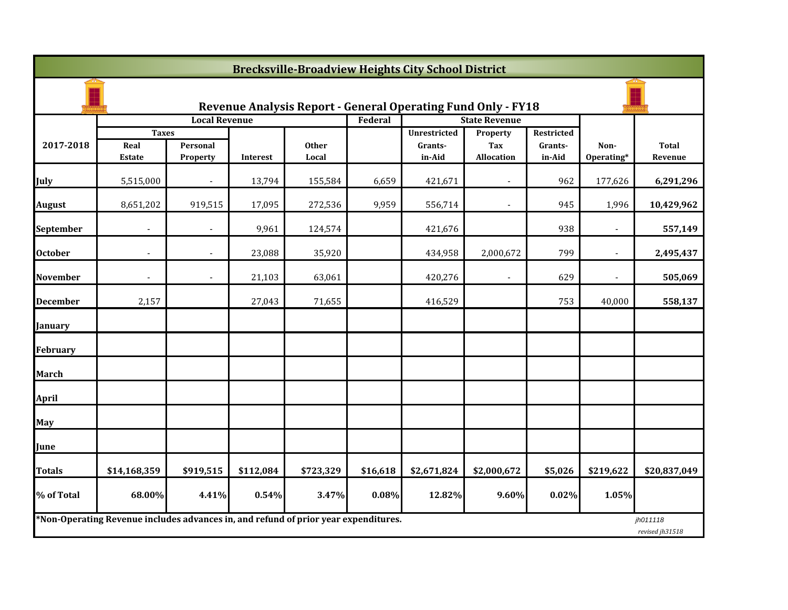| <b>Brecksville-Broadview Heights City School District</b> |                                                                                     |                      |           |                       |          |                                                                     |                               |                                 |                    |                             |  |
|-----------------------------------------------------------|-------------------------------------------------------------------------------------|----------------------|-----------|-----------------------|----------|---------------------------------------------------------------------|-------------------------------|---------------------------------|--------------------|-----------------------------|--|
|                                                           |                                                                                     |                      |           |                       |          | <b>Revenue Analysis Report - General Operating Fund Only - FY18</b> |                               |                                 |                    |                             |  |
|                                                           |                                                                                     | <b>Local Revenue</b> |           |                       | Federal  |                                                                     | <b>State Revenue</b>          |                                 |                    |                             |  |
| 2017-2018                                                 | <b>Taxes</b><br>Real<br>Estate                                                      | Personal<br>Property | Interest  | <b>Other</b><br>Local |          | Unrestricted<br>Grants-<br>in-Aid                                   | Property<br>Tax<br>Allocation | Restricted<br>Grants-<br>in-Aid | Non-<br>Operating* | <b>Total</b><br>Revenue     |  |
| July                                                      | 5,515,000                                                                           |                      | 13,794    | 155,584               | 6,659    | 421,671                                                             |                               | 962                             | 177,626            | 6,291,296                   |  |
| <b>August</b>                                             | 8,651,202                                                                           | 919,515              | 17,095    | 272,536               | 9,959    | 556,714                                                             | $\overline{\phantom{a}}$      | 945                             | 1,996              | 10,429,962                  |  |
| September                                                 | $\blacksquare$                                                                      |                      | 9,961     | 124,574               |          | 421,676                                                             |                               | 938                             | $\blacksquare$     | 557,149                     |  |
| <b>October</b>                                            |                                                                                     |                      | 23,088    | 35,920                |          | 434,958                                                             | 2,000,672                     | 799                             |                    | 2,495,437                   |  |
| <b>November</b>                                           | $\blacksquare$                                                                      | $\blacksquare$       | 21,103    | 63,061                |          | 420,276                                                             | $\overline{\phantom{a}}$      | 629                             | $\blacksquare$     | 505,069                     |  |
| <b>December</b>                                           | 2,157                                                                               |                      | 27,043    | 71,655                |          | 416,529                                                             |                               | 753                             | 40,000             | 558,137                     |  |
| January                                                   |                                                                                     |                      |           |                       |          |                                                                     |                               |                                 |                    |                             |  |
| <b>February</b>                                           |                                                                                     |                      |           |                       |          |                                                                     |                               |                                 |                    |                             |  |
| <b>March</b>                                              |                                                                                     |                      |           |                       |          |                                                                     |                               |                                 |                    |                             |  |
| <b>April</b>                                              |                                                                                     |                      |           |                       |          |                                                                     |                               |                                 |                    |                             |  |
| May                                                       |                                                                                     |                      |           |                       |          |                                                                     |                               |                                 |                    |                             |  |
| June                                                      |                                                                                     |                      |           |                       |          |                                                                     |                               |                                 |                    |                             |  |
| <b>Totals</b>                                             | \$14,168,359                                                                        | \$919,515            | \$112,084 | \$723,329             | \$16,618 | \$2,671,824                                                         | \$2,000,672                   | \$5,026                         | \$219,622          | \$20,837,049                |  |
| % of Total                                                | 68.00%                                                                              | 4.41%                | 0.54%     | 3.47%                 | 0.08%    | 12.82%                                                              | 9.60%                         | 0.02%                           | 1.05%              |                             |  |
|                                                           | *Non-Operating Revenue includes advances in, and refund of prior year expenditures. |                      |           |                       |          |                                                                     |                               |                                 |                    | jh011118<br>revised jh31518 |  |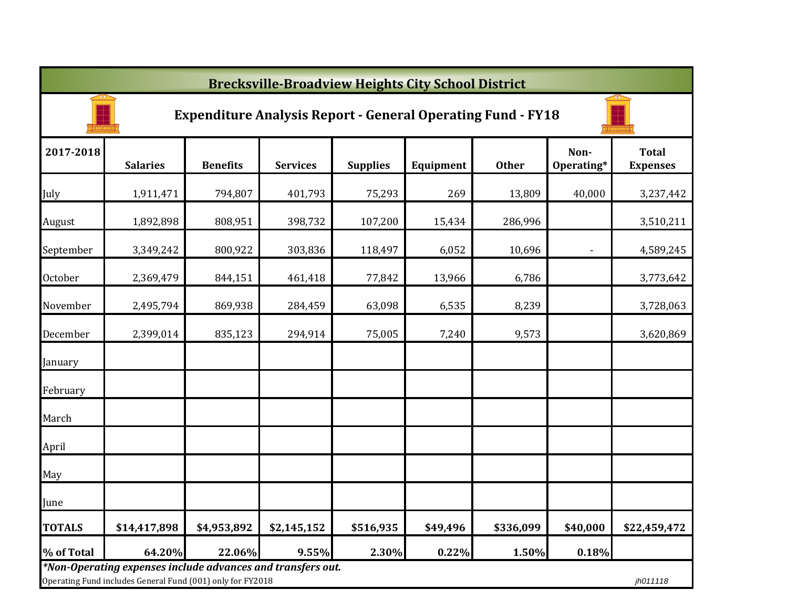|               | <b>Brecksville-Broadview Heights City School District</b>                                                                 |                 |                 |                 |           |              |                    |                                 |  |  |  |  |
|---------------|---------------------------------------------------------------------------------------------------------------------------|-----------------|-----------------|-----------------|-----------|--------------|--------------------|---------------------------------|--|--|--|--|
|               | <b>Expenditure Analysis Report - General Operating Fund - FY18</b>                                                        |                 |                 |                 |           |              |                    |                                 |  |  |  |  |
| 2017-2018     | <b>Salaries</b>                                                                                                           | <b>Benefits</b> | <b>Services</b> | <b>Supplies</b> | Equipment | <b>Other</b> | Non-<br>Operating* | <b>Total</b><br><b>Expenses</b> |  |  |  |  |
| July          | 1,911,471                                                                                                                 | 794,807         | 401,793         | 75,293          | 269       | 13,809       | 40,000             | 3,237,442                       |  |  |  |  |
| August        | 1,892,898                                                                                                                 | 808,951         | 398,732         | 107,200         | 15,434    | 286,996      |                    | 3,510,211                       |  |  |  |  |
| September     | 3,349,242                                                                                                                 | 800,922         | 303,836         | 118,497         | 6,052     | 10,696       |                    | 4,589,245                       |  |  |  |  |
| October       | 2,369,479                                                                                                                 | 844,151         | 461,418         | 77,842          | 13,966    | 6,786        |                    | 3,773,642                       |  |  |  |  |
| November      | 2,495,794                                                                                                                 | 869,938         | 284,459         | 63,098          | 6,535     | 8,239        |                    | 3,728,063                       |  |  |  |  |
| December      | 2,399,014                                                                                                                 | 835,123         | 294,914         | 75,005          | 7,240     | 9,573        |                    | 3,620,869                       |  |  |  |  |
| January       |                                                                                                                           |                 |                 |                 |           |              |                    |                                 |  |  |  |  |
| February      |                                                                                                                           |                 |                 |                 |           |              |                    |                                 |  |  |  |  |
| March         |                                                                                                                           |                 |                 |                 |           |              |                    |                                 |  |  |  |  |
| April         |                                                                                                                           |                 |                 |                 |           |              |                    |                                 |  |  |  |  |
| May           |                                                                                                                           |                 |                 |                 |           |              |                    |                                 |  |  |  |  |
| June          |                                                                                                                           |                 |                 |                 |           |              |                    |                                 |  |  |  |  |
| <b>TOTALS</b> | \$14,417,898                                                                                                              | \$4,953,892     | \$2,145,152     | \$516,935       | \$49,496  | \$336,099    | \$40,000           | \$22,459,472                    |  |  |  |  |
| % of Total    | 64.20%                                                                                                                    | 22.06%          | 9.55%           | 2.30%           | 0.22%     | 1.50%        | 0.18%              |                                 |  |  |  |  |
|               | *Non-Operating expenses include advances and transfers out.<br>Operating Fund includes General Fund (001) only for FY2018 |                 |                 |                 |           |              |                    | jh011118                        |  |  |  |  |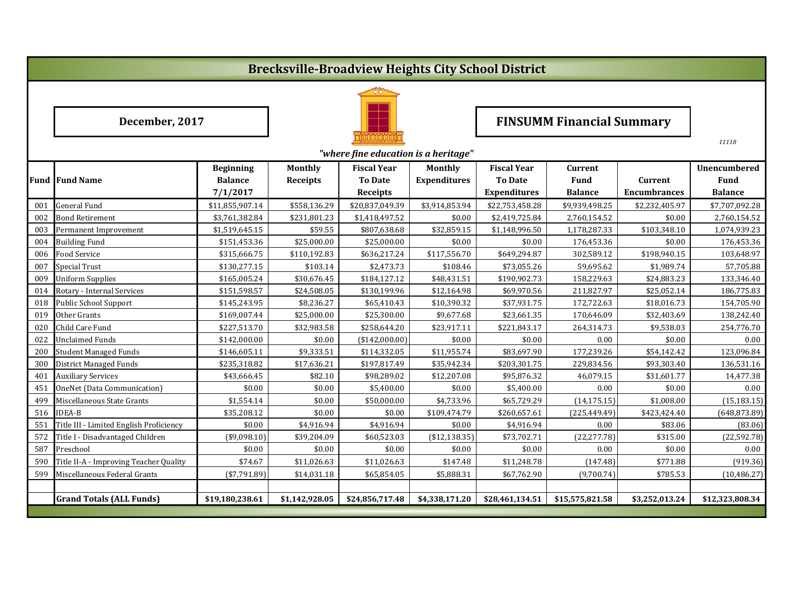# **Brecksville-Broadview Heights City School District**



|     | "where fine education is a heritage"    |                                    |                            |                                      |                                |                                      |                        |                     |                                    |  |  |  |
|-----|-----------------------------------------|------------------------------------|----------------------------|--------------------------------------|--------------------------------|--------------------------------------|------------------------|---------------------|------------------------------------|--|--|--|
|     | <b>Fund Fund Name</b>                   | <b>Beginning</b><br><b>Balance</b> | <b>Monthly</b><br>Receipts | <b>Fiscal Year</b><br><b>To Date</b> | Monthly<br><b>Expenditures</b> | <b>Fiscal Year</b><br><b>To Date</b> | Current<br><b>Fund</b> | Current             | <b>Unencumbered</b><br><b>Fund</b> |  |  |  |
|     |                                         | 7/1/2017                           |                            | <b>Receipts</b>                      |                                | <b>Expenditures</b>                  | <b>Balance</b>         | <b>Encumbrances</b> | <b>Balance</b>                     |  |  |  |
| 001 | <b>General Fund</b>                     | \$11,855,907.14                    | \$558,136.29               | \$20,837,049.39                      | \$3,914,853.94                 | \$22,753,458.28                      | \$9,939,498.25         | \$2,232,405.97      | \$7,707,092.28                     |  |  |  |
| 002 | <b>Bond Retirement</b>                  | \$3,761,382.84                     | \$231,801.23               | \$1,418,497.52                       | \$0.00                         | \$2,419,725.84                       | 2,760,154.52           | \$0.00              | 2,760,154.52                       |  |  |  |
| 003 | Permanent Improvement                   | \$1,519,645.15                     | \$59.55                    | \$807,638.68                         | \$32,859.15                    | \$1,148,996.50                       | 1,178,287.33           | \$103,348.10        | 1,074,939.23                       |  |  |  |
| 004 | <b>Building Fund</b>                    | \$151,453.36                       | \$25,000.00                | \$25,000.00                          | \$0.00                         | \$0.00                               | 176,453.36             | \$0.00              | 176,453.36                         |  |  |  |
| 006 | <b>Food Service</b>                     | \$315,666.75                       | \$110,192.83               | \$636,217.24                         | \$117,556.70                   | \$649,294.87                         | 302,589.12             | \$198,940.15        | 103,648.97                         |  |  |  |
| 007 | <b>Special Trust</b>                    | \$130,277.15                       | \$103.14                   | \$2,473.73                           | \$108.46                       | \$73,055.26                          | 59,695.62              | \$1,989.74          | 57,705.88                          |  |  |  |
| 009 | <b>Uniform Supplies</b>                 | \$165,005.24                       | \$30,676.45                | \$184,127.12                         | \$48,431.51                    | \$190,902.73                         | 158,229.63             | \$24,883.23         | 133,346.40                         |  |  |  |
| 014 | Rotary - Internal Services              | \$151,598.57                       | \$24,508.05                | \$130,199.96                         | \$12,164.98                    | \$69,970.56                          | 211,827.97             | \$25,052.14         | 186,775.83                         |  |  |  |
| 018 | Public School Support                   | \$145,243.95                       | \$8,236.27                 | \$65,410.43                          | \$10,390.32                    | \$37,931.75                          | 172,722.63             | \$18,016.73         | 154,705.90                         |  |  |  |
| 019 | Other Grants                            | \$169,007.44                       | \$25,000.00                | \$25,300.00                          | \$9,677.68                     | \$23,661.35                          | 170,646.09             | \$32,403.69         | 138,242.40                         |  |  |  |
| 020 | Child Care Fund                         | \$227,513.70                       | \$32,983.58                | \$258,644.20                         | \$23,917.11                    | \$221,843.17                         | 264,314.73             | \$9,538.03          | 254,776.70                         |  |  |  |
| 022 | <b>Unclaimed Funds</b>                  | \$142,000.00                       | \$0.00                     | ( \$142,000.00]                      | \$0.00                         | \$0.00                               | 0.00                   | \$0.00              | 0.00                               |  |  |  |
| 200 | <b>Student Managed Funds</b>            | \$146,605.11                       | \$9,333.51                 | \$114,332.05                         | \$11,955.74                    | \$83,697.90                          | 177,239.26             | \$54,142.42         | 123,096.84                         |  |  |  |
| 300 | District Managed Funds                  | \$235,318.82                       | \$17,636.21                | \$197,817.49                         | \$35,942.34                    | \$203,301.75                         | 229,834.56             | \$93,303.40         | 136,531.16                         |  |  |  |
| 401 | <b>Auxiliary Services</b>               | \$43,666.45                        | \$82.10                    | \$98,289.02                          | \$12,207.08                    | \$95,876.32                          | 46,079.15              | \$31,601.77         | 14,477.38                          |  |  |  |
| 451 | OneNet (Data Communication)             | \$0.00                             | \$0.00                     | \$5,400.00                           | \$0.00                         | \$5,400.00                           | 0.00                   | \$0.00              | 0.00                               |  |  |  |
| 499 | Miscellaneous State Grants              | \$1,554.14                         | \$0.00                     | \$50,000.00                          | \$4,733.96                     | \$65,729.29                          | (14, 175.15)           | \$1,008.00          | (15, 183.15)                       |  |  |  |
| 516 | <b>IDEA-B</b>                           | \$35,208.12                        | \$0.00                     | \$0.00                               | \$109,474.79                   | \$260,657.61                         | (225, 449.49)          | \$423,424.40        | (648, 873.89)                      |  |  |  |
| 551 | Title III - Limited English Proficiency | \$0.00                             | \$4,916.94                 | \$4,916.94                           | \$0.00                         | \$4,916.94                           | 0.00                   | \$83.06             | (83.06)                            |  |  |  |
| 572 | Title I - Disadvantaged Children        | ( \$9,098.10)                      | \$39,204.09                | \$60,523.03                          | (\$12,138.35)                  | \$73,702.71                          | (22, 277.78)           | \$315.00            | (22, 592.78)                       |  |  |  |
| 587 | Preschool                               | \$0.00                             | \$0.00                     | \$0.00                               | \$0.00                         | \$0.00                               | 0.00                   | \$0.00              | 0.00                               |  |  |  |
| 590 | Title II-A - Improving Teacher Quality  | \$74.67                            | \$11,026.63                | \$11,026.63                          | \$147.48                       | \$11,248.78                          | (147.48)               | \$771.88            | (919.36)                           |  |  |  |
| 599 | Miscellaneous Federal Grants            | $(*7,791.89)$                      | \$14,031.18                | \$65,854.05                          | \$5,888.31                     | \$67,762.90                          | (9,700.74)             | \$785.53            | (10, 486.27)                       |  |  |  |
|     |                                         |                                    |                            |                                      |                                |                                      |                        |                     |                                    |  |  |  |
|     | <b>Grand Totals (ALL Funds)</b>         | \$19,180,238.61                    | \$1,142,928.05             | \$24,856,717.48                      | \$4,338,171.20                 | \$28,461,134.51                      | \$15,575,821.58        | \$3,252,013.24      | \$12,323,808.34                    |  |  |  |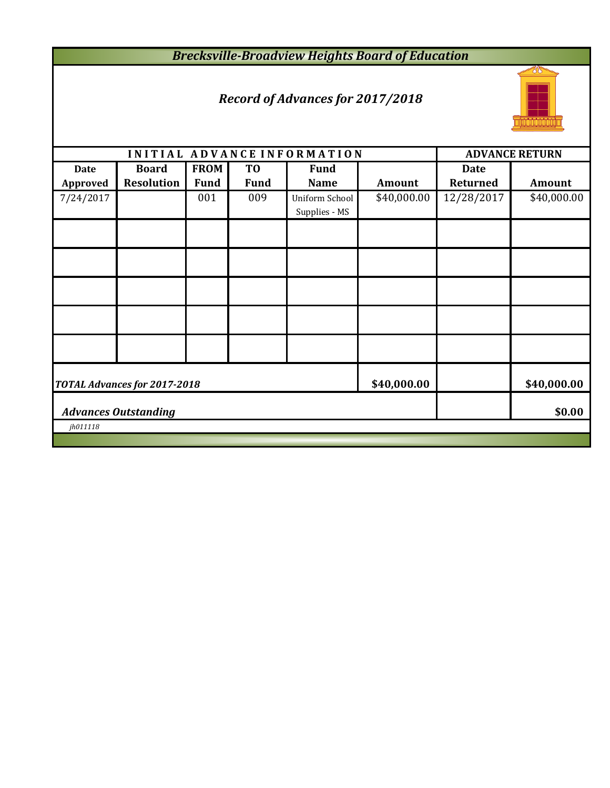*Brecksville-Broadview Heights Board of Education*

# *Record of Advances for 2017/2018*



|                 |                                       |             |                | INITIAL ADVANCE INFORMATION            |               |             | <b>ADVANCE RETURN</b> |  |  |
|-----------------|---------------------------------------|-------------|----------------|----------------------------------------|---------------|-------------|-----------------------|--|--|
| <b>Date</b>     | <b>Board</b>                          | <b>FROM</b> | T <sub>0</sub> | <b>Fund</b>                            |               | <b>Date</b> |                       |  |  |
| <b>Approved</b> | <b>Resolution</b>                     | <b>Fund</b> | <b>Fund</b>    | <b>Name</b>                            | <b>Amount</b> | Returned    | Amount                |  |  |
| 7/24/2017       |                                       | 001         | 009            | <b>Uniform School</b><br>Supplies - MS | \$40,000.00   | 12/28/2017  | \$40,000.00           |  |  |
|                 |                                       |             |                |                                        |               |             |                       |  |  |
|                 |                                       |             |                |                                        |               |             |                       |  |  |
|                 |                                       |             |                |                                        |               |             |                       |  |  |
|                 |                                       |             |                |                                        |               |             |                       |  |  |
|                 |                                       |             |                |                                        |               |             |                       |  |  |
|                 | <b>TOTAL Advances for 2017-2018</b>   | \$40,000.00 |                | \$40,000.00                            |               |             |                       |  |  |
|                 | \$0.00<br><b>Advances Outstanding</b> |             |                |                                        |               |             |                       |  |  |
| jh011118        |                                       |             |                |                                        |               |             |                       |  |  |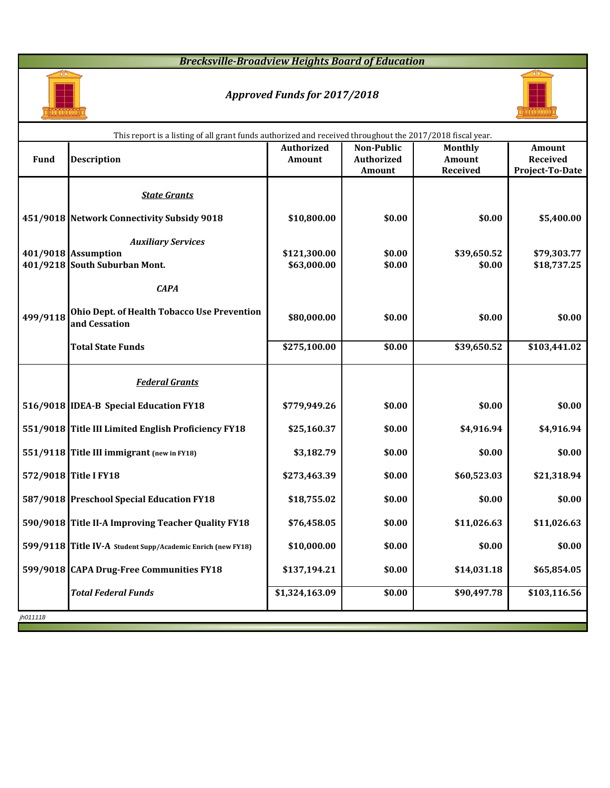### *Brecksville-Broadview Heights Board of Education*



#### *Approved Funds for 2017/2018*



|             | This report is a listing of all grant funds authorized and received throughout the 2017/2018 fiscal year. |                   |                   |                    |                             |
|-------------|-----------------------------------------------------------------------------------------------------------|-------------------|-------------------|--------------------|-----------------------------|
|             |                                                                                                           | <b>Authorized</b> | <b>Non-Public</b> | <b>Monthly</b>     | Amount                      |
| <b>Fund</b> | <b>Description</b>                                                                                        | Amount            | <b>Authorized</b> | Amount<br>Received | Received<br>Project-To-Date |
|             |                                                                                                           |                   | Amount            |                    |                             |
|             | <b>State Grants</b>                                                                                       |                   |                   |                    |                             |
|             | 451/9018 Network Connectivity Subsidy 9018                                                                | \$10,800.00       | \$0.00            | \$0.00             | \$5,400.00                  |
|             | <b>Auxiliary Services</b>                                                                                 |                   |                   |                    |                             |
|             | 401/9018 Assumption                                                                                       | \$121,300.00      | \$0.00            | \$39,650.52        | \$79,303.77                 |
|             | 401/9218 South Suburban Mont.                                                                             | \$63,000.00       | \$0.00            | \$0.00             | \$18,737.25                 |
|             | <b>CAPA</b>                                                                                               |                   |                   |                    |                             |
| 499/9118    | Ohio Dept. of Health Tobacco Use Prevention<br>and Cessation                                              | \$80,000.00       | \$0.00            | \$0.00             | \$0.00                      |
|             | <b>Total State Funds</b>                                                                                  | \$275,100.00      | \$0.00            | \$39,650.52        | \$103,441.02                |
|             | <b>Federal Grants</b>                                                                                     |                   |                   |                    |                             |
|             | 516/9018 IDEA-B Special Education FY18                                                                    | \$779,949.26      | \$0.00            | \$0.00             | \$0.00                      |
|             | 551/9018 Title III Limited English Proficiency FY18                                                       | \$25,160.37       | \$0.00            | \$4,916.94         | \$4,916.94                  |
|             | 551/9118 Title III immigrant (new in FY18)                                                                | \$3,182.79        | \$0.00            | \$0.00             | \$0.00                      |
|             | 572/9018 Title I FY18                                                                                     | \$273,463.39      | \$0.00            | \$60,523.03        | \$21,318.94                 |
|             | 587/9018 Preschool Special Education FY18                                                                 | \$18,755.02       | \$0.00            | \$0.00             | \$0.00                      |
|             | 590/9018 Title II-A Improving Teacher Quality FY18                                                        | \$76,458.05       | \$0.00            | \$11,026.63        | \$11,026.63                 |
|             | 599/9118 Title IV-A Student Supp/Academic Enrich (new FY18)                                               | \$10,000.00       | \$0.00            | \$0.00             | \$0.00                      |
|             | 599/9018 CAPA Drug-Free Communities FY18                                                                  | \$137,194.21      | \$0.00            | \$14,031.18        | \$65,854.05                 |
|             | <b>Total Federal Funds</b>                                                                                | \$1,324,163.09    | \$0.00            | \$90,497.78        | \$103,116.56                |
| jh011118    |                                                                                                           |                   |                   |                    |                             |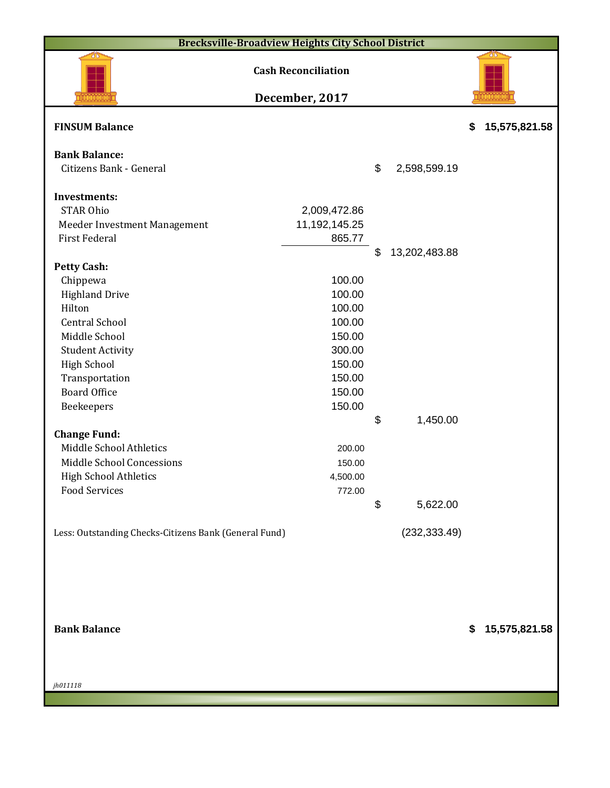| <b>Brecksville-Broadview Heights City School District</b> |                            |    |               |    |               |  |  |  |  |
|-----------------------------------------------------------|----------------------------|----|---------------|----|---------------|--|--|--|--|
|                                                           | <b>Cash Reconciliation</b> |    |               |    |               |  |  |  |  |
|                                                           | December, 2017             |    |               |    |               |  |  |  |  |
| <b>FINSUM Balance</b>                                     |                            |    |               | \$ | 15,575,821.58 |  |  |  |  |
| <b>Bank Balance:</b>                                      |                            |    |               |    |               |  |  |  |  |
| Citizens Bank - General                                   |                            | \$ | 2,598,599.19  |    |               |  |  |  |  |
|                                                           |                            |    |               |    |               |  |  |  |  |
| <b>Investments:</b>                                       |                            |    |               |    |               |  |  |  |  |
| <b>STAR Ohio</b>                                          | 2,009,472.86               |    |               |    |               |  |  |  |  |
| Meeder Investment Management                              | 11,192,145.25              |    |               |    |               |  |  |  |  |
| <b>First Federal</b>                                      | 865.77                     |    |               |    |               |  |  |  |  |
|                                                           |                            | \$ | 13,202,483.88 |    |               |  |  |  |  |
| <b>Petty Cash:</b>                                        |                            |    |               |    |               |  |  |  |  |
| Chippewa                                                  | 100.00                     |    |               |    |               |  |  |  |  |
| <b>Highland Drive</b>                                     | 100.00                     |    |               |    |               |  |  |  |  |
| Hilton                                                    | 100.00                     |    |               |    |               |  |  |  |  |
| <b>Central School</b>                                     | 100.00                     |    |               |    |               |  |  |  |  |
| Middle School                                             | 150.00                     |    |               |    |               |  |  |  |  |
| <b>Student Activity</b>                                   | 300.00                     |    |               |    |               |  |  |  |  |
| <b>High School</b>                                        | 150.00<br>150.00           |    |               |    |               |  |  |  |  |
| Transportation<br><b>Board Office</b>                     | 150.00                     |    |               |    |               |  |  |  |  |
|                                                           | 150.00                     |    |               |    |               |  |  |  |  |
| Beekeepers                                                |                            | \$ | 1,450.00      |    |               |  |  |  |  |
| <b>Change Fund:</b>                                       |                            |    |               |    |               |  |  |  |  |
| Middle School Athletics                                   | 200.00                     |    |               |    |               |  |  |  |  |
| Middle School Concessions                                 | 150.00                     |    |               |    |               |  |  |  |  |
| <b>High School Athletics</b>                              | 4,500.00                   |    |               |    |               |  |  |  |  |
| <b>Food Services</b>                                      | 772.00                     |    |               |    |               |  |  |  |  |
|                                                           |                            | \$ | 5,622.00      |    |               |  |  |  |  |
|                                                           |                            |    |               |    |               |  |  |  |  |
| Less: Outstanding Checks-Citizens Bank (General Fund)     |                            |    | (232, 333.49) |    |               |  |  |  |  |
|                                                           |                            |    |               |    |               |  |  |  |  |
|                                                           |                            |    |               |    |               |  |  |  |  |
|                                                           |                            |    |               |    |               |  |  |  |  |
|                                                           |                            |    |               |    |               |  |  |  |  |
|                                                           |                            |    |               |    |               |  |  |  |  |
|                                                           |                            |    |               |    |               |  |  |  |  |
| <b>Bank Balance</b>                                       |                            |    |               |    | 15,575,821.58 |  |  |  |  |

*jh011118*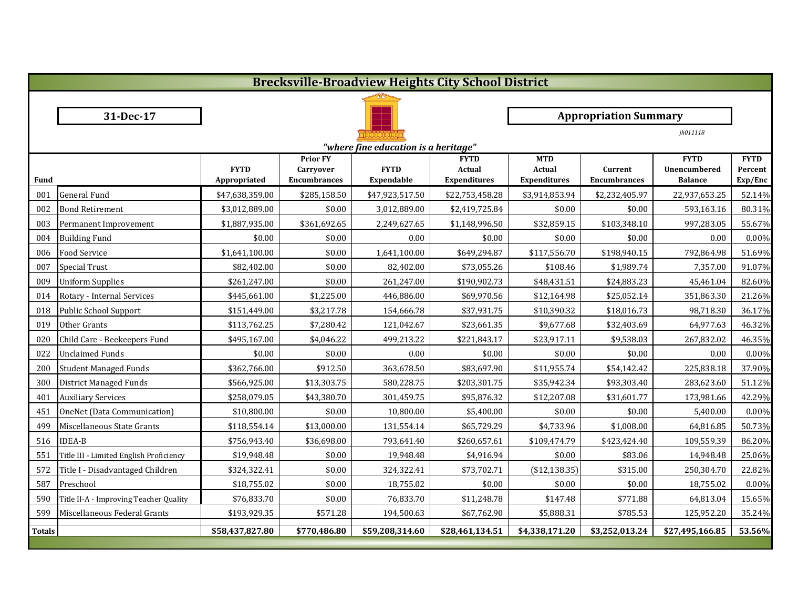|               | <b>Brecksville-Broadview Heights City School District</b> |                             |                                                            |                                  |                                                     |                                             |                                |                                               |                                   |  |  |
|---------------|-----------------------------------------------------------|-----------------------------|------------------------------------------------------------|----------------------------------|-----------------------------------------------------|---------------------------------------------|--------------------------------|-----------------------------------------------|-----------------------------------|--|--|
|               |                                                           |                             |                                                            |                                  |                                                     |                                             |                                |                                               |                                   |  |  |
|               | 31-Dec-17                                                 |                             |                                                            |                                  |                                                     | <b>Appropriation Summary</b>                |                                |                                               |                                   |  |  |
|               |                                                           |                             |                                                            |                                  |                                                     |                                             |                                | jh011118                                      |                                   |  |  |
|               | "where fine education is a heritage"                      |                             |                                                            |                                  |                                                     |                                             |                                |                                               |                                   |  |  |
| <b>Fund</b>   |                                                           | <b>FYTD</b><br>Appropriated | <b>Prior FY</b><br><b>Carryover</b><br><b>Encumbrances</b> | <b>FYTD</b><br><b>Expendable</b> | <b>FYTD</b><br><b>Actual</b><br><b>Expenditures</b> | <b>MTD</b><br>Actual<br><b>Expenditures</b> | Current<br><b>Encumbrances</b> | <b>FYTD</b><br>Unencumbered<br><b>Balance</b> | <b>FYTD</b><br>Percent<br>Exp/Enc |  |  |
| 001           | <b>General Fund</b>                                       | \$47,638,359.00             | \$285,158.50                                               | \$47,923,517.50                  | \$22,753,458.28                                     | \$3,914,853.94                              | \$2,232,405.97                 | 22,937,653.25                                 | 52.14%                            |  |  |
| 002           | <b>Bond Retirement</b>                                    | \$3,012,889.00              | \$0.00                                                     | 3,012,889.00                     | \$2,419,725.84                                      | \$0.00                                      | \$0.00                         | 593,163.16                                    | 80.31%                            |  |  |
| 003           | Permanent Improvement                                     | \$1,887,935.00              | \$361,692.65                                               | 2,249,627.65                     | \$1,148,996.50                                      | \$32,859.15                                 | \$103,348.10                   | 997,283.05                                    | 55.67%                            |  |  |
| 004           | <b>Building Fund</b>                                      | \$0.00                      | \$0.00                                                     | 0.00                             | \$0.00                                              | \$0.00                                      | \$0.00                         | 0.00                                          | $0.00\%$                          |  |  |
| 006           | Food Service                                              | \$1,641,100.00              | \$0.00                                                     | 1,641,100.00                     | \$649,294.87                                        | \$117,556.70                                | \$198,940.15                   | 792,864.98                                    | 51.69%                            |  |  |
| 007           | <b>Special Trust</b>                                      | \$82,402.00                 | \$0.00                                                     | 82,402.00                        | \$73,055.26                                         | \$108.46                                    | \$1,989.74                     | 7,357.00                                      | 91.07%                            |  |  |
| 009           | <b>Uniform Supplies</b>                                   | \$261,247.00                | \$0.00                                                     | 261,247.00                       | \$190,902.73                                        | \$48,431.51                                 | \$24,883.23                    | 45,461.04                                     | 82.60%                            |  |  |
| 014           | Rotary - Internal Services                                | \$445,661.00                | \$1,225.00                                                 | 446,886.00                       | \$69,970.56                                         | \$12,164.98                                 | \$25,052.14                    | 351,863.30                                    | 21.26%                            |  |  |
| 018           | Public School Support                                     | \$151,449.00                | \$3,217.78                                                 | 154,666.78                       | \$37,931.75                                         | \$10,390.32                                 | \$18,016.73                    | 98,718.30                                     | 36.17%                            |  |  |
| 019           | Other Grants                                              | \$113,762.25                | \$7,280.42                                                 | 121,042.67                       | \$23,661.35                                         | \$9,677.68                                  | \$32,403.69                    | 64,977.63                                     | 46.32%                            |  |  |
| 020           | Child Care - Beekeepers Fund                              | \$495,167.00                | \$4,046.22                                                 | 499,213.22                       | \$221,843.17                                        | \$23,917.11                                 | \$9,538.03                     | 267,832.02                                    | 46.35%                            |  |  |
| 022           | <b>Unclaimed Funds</b>                                    | \$0.00                      | \$0.00                                                     | 0.00                             | \$0.00                                              | \$0.00                                      | \$0.00                         | 0.00                                          | $0.00\%$                          |  |  |
| 200           | <b>Student Managed Funds</b>                              | \$362,766.00                | \$912.50                                                   | 363,678.50                       | \$83,697.90                                         | \$11,955.74                                 | \$54,142.42                    | 225,838.18                                    | 37.90%                            |  |  |
| 300           | District Managed Funds                                    | \$566,925.00                | \$13,303.75                                                | 580,228.75                       | \$203,301.75                                        | \$35,942.34                                 | \$93,303.40                    | 283,623.60                                    | 51.12%                            |  |  |
| 401           | <b>Auxiliary Services</b>                                 | \$258,079.05                | \$43,380.70                                                | 301,459.75                       | \$95,876.32                                         | \$12,207.08                                 | \$31,601.77                    | 173,981.66                                    | 42.29%                            |  |  |
| 451           | OneNet (Data Communication)                               | \$10,800.00                 | \$0.00                                                     | 10,800.00                        | \$5,400.00                                          | \$0.00                                      | \$0.00                         | 5,400.00                                      | $0.00\%$                          |  |  |
| 499           | Miscellaneous State Grants                                | \$118,554.14                | \$13,000.00                                                | 131,554.14                       | \$65,729.29                                         | \$4,733.96                                  | \$1,008.00                     | 64,816.85                                     | 50.73%                            |  |  |
| 516           | <b>IDEA-B</b>                                             | \$756,943.40                | \$36,698.00                                                | 793,641.40                       | \$260,657.61                                        | \$109,474.79                                | \$423,424.40                   | 109,559.39                                    | 86.20%                            |  |  |
| 551           | Title III - Limited English Proficiency                   | \$19,948.48                 | \$0.00                                                     | 19,948.48                        | \$4,916.94                                          | \$0.00                                      | \$83.06                        | 14,948.48                                     | 25.06%                            |  |  |
| 572           | Title I - Disadvantaged Children                          | \$324,322.41                | \$0.00                                                     | 324,322.41                       | \$73,702.71                                         | (\$12,138.35)                               | \$315.00                       | 250,304.70                                    | 22.82%                            |  |  |
| 587           | Preschool                                                 | \$18,755.02                 | \$0.00                                                     | 18,755.02                        | \$0.00                                              | \$0.00                                      | \$0.00                         | 18,755.02                                     | $0.00\%$                          |  |  |
| 590           | Title II-A - Improving Teacher Quality                    | \$76,833.70                 | \$0.00                                                     | 76,833.70                        | \$11,248.78                                         | \$147.48                                    | \$771.88                       | 64,813.04                                     | 15.65%                            |  |  |
| 599           | Miscellaneous Federal Grants                              | \$193,929.35                | \$571.28                                                   | 194,500.63                       | \$67,762.90                                         | \$5,888.31                                  | \$785.53                       | 125,952.20                                    | 35.24%                            |  |  |
| <b>Totals</b> |                                                           | \$58,437,827.80             | \$770,486.80                                               | \$59,208,314.60                  | \$28,461,134.51                                     | \$4,338,171.20                              | \$3,252,013.24                 | \$27,495,166.85                               | 53.56%                            |  |  |